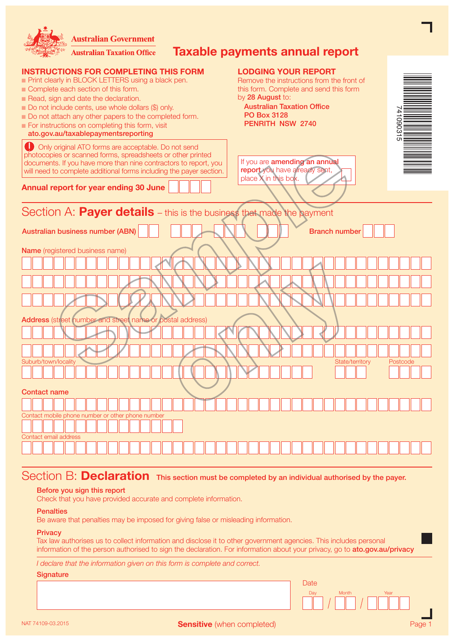| <b>Australian Government</b><br>Taxable payments annual report<br><b>Australian Taxation Office</b>                                                                                                                                                                                                                                                                                                                                                                                                                                                                                                                      |          |  |  |
|--------------------------------------------------------------------------------------------------------------------------------------------------------------------------------------------------------------------------------------------------------------------------------------------------------------------------------------------------------------------------------------------------------------------------------------------------------------------------------------------------------------------------------------------------------------------------------------------------------------------------|----------|--|--|
| <b>INSTRUCTIONS FOR COMPLETING THIS FORM</b><br><b>LODGING YOUR REPORT</b><br>Print clearly in BLOCK LETTERS using a black pen.<br>Remove the instructions from the front of<br>Complete each section of this form.<br>this form. Complete and send this form<br>by 28 August to:<br>Read, sign and date the declaration.<br><b>Australian Taxation Office</b><br>Do not include cents, use whole dollars (\$) only.<br><b>PO Box 3128</b><br>Do not attach any other papers to the completed form.<br><b>PENRITH NSW 2740</b><br>For instructions on completing this form, visit<br>ato.gov.au/taxablepaymentsreporting |          |  |  |
| Only original ATO forms are acceptable. Do not send<br>photocopies or scanned forms, spreadsheets or other printed<br>If you are amending an annual<br>documents. If you have more than nine contractors to report, you<br>report you have already sent,<br>will need to complete additional forms including the payer section.<br>place X in this box.<br>Annual report for year ending 30 June                                                                                                                                                                                                                         |          |  |  |
| Section A: <b>Payer details</b> – this is the business that made the payment<br><b>Australian business number (ABN)</b><br><b>Branch number</b>                                                                                                                                                                                                                                                                                                                                                                                                                                                                          |          |  |  |
| Name (registered business name)<br>Address (street number and street name or postal address)<br>Suburb/town/locality<br>State/territory<br><b>Contact name</b>                                                                                                                                                                                                                                                                                                                                                                                                                                                           | Postcode |  |  |
| Contact mobile phone number or other phone number<br>Contact email address                                                                                                                                                                                                                                                                                                                                                                                                                                                                                                                                               |          |  |  |
|                                                                                                                                                                                                                                                                                                                                                                                                                                                                                                                                                                                                                          |          |  |  |

# Section B: **Declaration** This section must be completed by an individual authorised by the payer.

### Before you sign this report

Check that you have provided accurate and complete information.

## **Penalties**

Be aware that penalties may be imposed for giving false or misleading information.

### **Privacy**

Tax law authorises us to collect information and disclose it to other government agencies. This includes personal information of the person authorised to sign the declaration. For information about your privacy, go to ato.gov.au/privacy

Date

Day Month Year

*I declare that the information given on this form is complete and correct.*

# **Signature**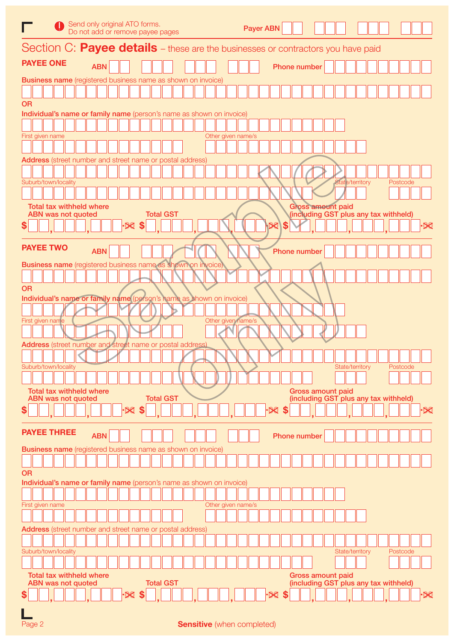| Send only original ATO forms.<br>Do not add or remove payee pages                            | <b>Payer ABN</b>                                                                     |
|----------------------------------------------------------------------------------------------|--------------------------------------------------------------------------------------|
| Section C: Payee details – these are the businesses or contractors you have paid             |                                                                                      |
| <b>PAYEE ONE</b><br><b>ABN</b>                                                               | Phone number                                                                         |
| <b>Business name</b> (registered business name as shown on invoice)                          |                                                                                      |
| <b>OR</b>                                                                                    |                                                                                      |
| Individual's name or family name (person's name as shown on invoice)                         |                                                                                      |
| Other given name/s<br>First given name                                                       |                                                                                      |
| Address (street number and street name or postal address)                                    |                                                                                      |
| Suburb/town/locality                                                                         | State/territory<br>Postcode                                                          |
|                                                                                              |                                                                                      |
| <b>Total tax withheld where</b>                                                              | <b>Gross amount paid</b>                                                             |
| <b>Total GST</b><br><b>ABN was not quoted</b><br>S                                           | (including GST plus any tax withheld)<br>\$<br>$\overline{\mathsf{X}}$               |
|                                                                                              |                                                                                      |
| <b>PAYEE TWO</b><br><b>ABN</b>                                                               | Phone number                                                                         |
| Business name (registered business name as shown on invoice)                                 |                                                                                      |
| <b>OR</b>                                                                                    |                                                                                      |
| Individual's name or family name (person's name as shown on invoice)                         |                                                                                      |
| Other given name/s<br>First given name                                                       |                                                                                      |
|                                                                                              |                                                                                      |
| <b>Address</b> (street number and street name or postal address)                             |                                                                                      |
| Suburb/town/locality                                                                         | State/territory<br>Postcode                                                          |
|                                                                                              |                                                                                      |
| <b>Total tax withheld where</b><br><b>Total GST</b><br><b>ABN was not quoted</b><br>88<br>\$ | <b>Gross amount paid</b><br>(including GST plus any tax withheld)<br>·X<br>$\bowtie$ |
|                                                                                              |                                                                                      |
| <b>PAYEE THREE</b><br><b>ABN</b>                                                             | <b>Phone number</b>                                                                  |
| <b>Business name</b> (registered business name as shown on invoice)                          |                                                                                      |
| <b>OR</b><br>Individual's name or family name (person's name as shown on invoice)            |                                                                                      |
|                                                                                              |                                                                                      |
| First given name<br>Other given name/s                                                       |                                                                                      |
|                                                                                              |                                                                                      |
| Address (street number and street name or postal address)                                    |                                                                                      |
| Suburb/town/locality                                                                         | Postcode<br>State/territory                                                          |
| <b>Total tax withheld where</b>                                                              | <b>Gross amount paid</b>                                                             |
| <b>Total GST</b><br><b>ABN was not quoted</b>                                                | (including GST plus any tax withheld)                                                |
|                                                                                              | ·X                                                                                   |
|                                                                                              |                                                                                      |

| Page 2 | <b>Sensitive</b> (when completed) |  |
|--------|-----------------------------------|--|
|--------|-----------------------------------|--|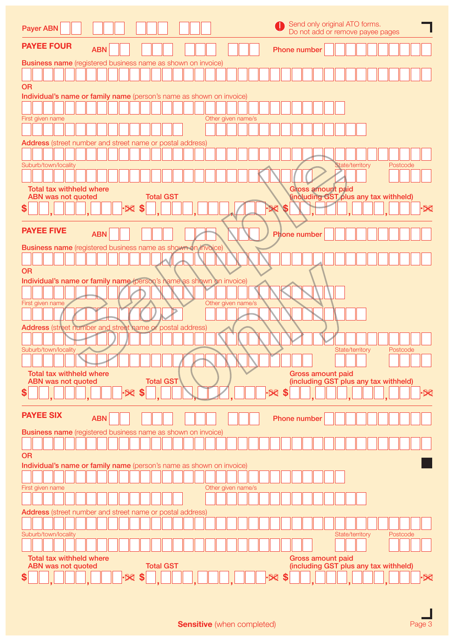| Send only original ATO forms.<br><b>Payer ABN</b><br>Do not add or remove payee pages                                                                 |
|-------------------------------------------------------------------------------------------------------------------------------------------------------|
| <b>PAYEE FOUR</b><br><b>ABN</b><br>Phone number                                                                                                       |
| <b>Business name</b> (registered business name as shown on invoice)                                                                                   |
|                                                                                                                                                       |
| <b>OR</b>                                                                                                                                             |
| Individual's name or family name (person's name as shown on invoice)                                                                                  |
|                                                                                                                                                       |
| Other given name/s<br>First given name                                                                                                                |
|                                                                                                                                                       |
| Address (street number and street name or postal address)                                                                                             |
|                                                                                                                                                       |
| Suburb/town/locality<br><b>State/territory</b><br>Postcode                                                                                            |
|                                                                                                                                                       |
| <b>Total tax withheld where</b><br><b>Gross amount paid</b><br><b>Total GST</b><br>(including GST plus any tax withheld)<br><b>ABN was not quoted</b> |
|                                                                                                                                                       |
| \$<br>·X<br>$\bm{\times}$                                                                                                                             |
| <b>PAYEE FIVE</b>                                                                                                                                     |
| <b>ABN</b><br><b>Phone number</b>                                                                                                                     |
| <b>Business name</b> (registered business name as shown on invoice)                                                                                   |
|                                                                                                                                                       |
| <b>OR</b>                                                                                                                                             |
| Individual's name or family name (person's name as shown on invoice)                                                                                  |
|                                                                                                                                                       |
| Other given name/s<br>First given name                                                                                                                |
|                                                                                                                                                       |
| Address (street number and street name or postal address)                                                                                             |
|                                                                                                                                                       |
| Suburb/town/locality<br>State/territory<br>Postcode                                                                                                   |
|                                                                                                                                                       |
| <b>Total tax withheld where</b><br><b>Gross amount paid</b>                                                                                           |
| <b>Total GST</b><br>(including GST plus any tax withheld)<br><b>ABN was not quoted</b>                                                                |
| $-80S$<br>$\times$ \$<br>\$<br>$\bm{\times}$                                                                                                          |
| <b>PAYEE SIX</b><br><b>ABN</b><br><b>Phone number</b>                                                                                                 |
|                                                                                                                                                       |
| <b>Business name</b> (registered business name as shown on invoice)                                                                                   |
|                                                                                                                                                       |
| <b>OR</b>                                                                                                                                             |
| Individual's name or family name (person's name as shown on invoice)                                                                                  |
|                                                                                                                                                       |
| Other given name/s<br>First given name                                                                                                                |
|                                                                                                                                                       |
| <b>Address</b> (street number and street name or postal address)                                                                                      |
|                                                                                                                                                       |
| Suburb/town/locality<br>Postcode<br>State/territory                                                                                                   |
|                                                                                                                                                       |
| <b>Total tax withheld where</b><br><b>Gross amount paid</b>                                                                                           |
| <b>Total GST</b><br>(including GST plus any tax withheld)<br><b>ABN was not quoted</b>                                                                |
| $\mathcal{R}$ \$<br>·œ<br>\$                                                                                                                          |